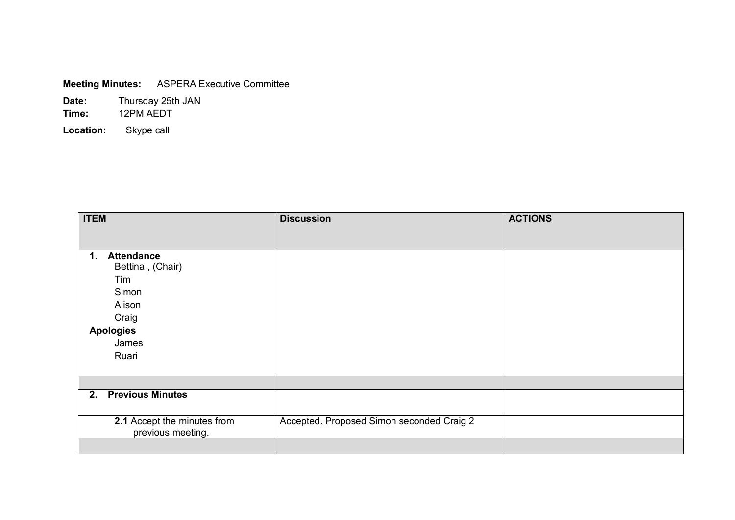| <b>Meeting Minutes:</b> | <b>ASPERA Executive Committee</b> |
|-------------------------|-----------------------------------|
|-------------------------|-----------------------------------|

**Date:** Thursday 25th JAN **Time:** 12PM AEDT **Location:** Skype call

| <b>ITEM</b>                                      | <b>Discussion</b>                         | <b>ACTIONS</b> |
|--------------------------------------------------|-------------------------------------------|----------------|
|                                                  |                                           |                |
| <b>Attendance</b><br>1.<br>Bettina, (Chair)      |                                           |                |
| Tim                                              |                                           |                |
| Simon                                            |                                           |                |
| Alison                                           |                                           |                |
| Craig                                            |                                           |                |
| <b>Apologies</b>                                 |                                           |                |
| James                                            |                                           |                |
| Ruari                                            |                                           |                |
|                                                  |                                           |                |
|                                                  |                                           |                |
| <b>Previous Minutes</b><br>2.                    |                                           |                |
|                                                  |                                           |                |
| 2.1 Accept the minutes from<br>previous meeting. | Accepted. Proposed Simon seconded Craig 2 |                |
|                                                  |                                           |                |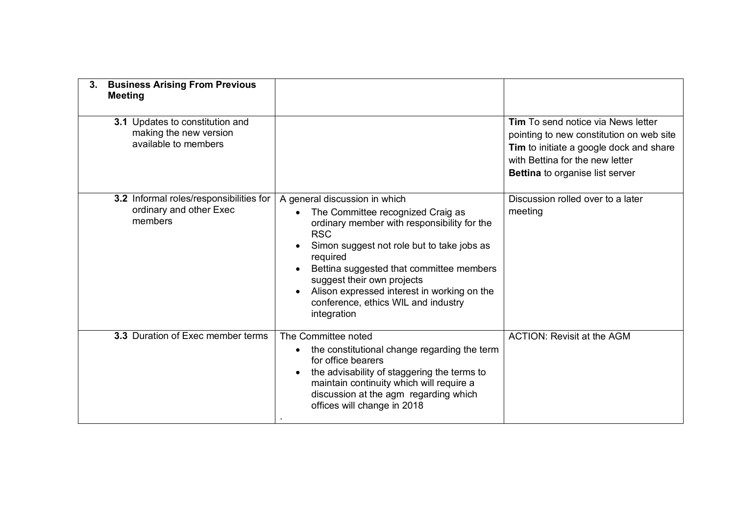| <b>Business Arising From Previous</b><br>3.<br><b>Meeting</b>                     |                                                                                                                                                                                                                                                                                                                                                                          |                                                                                                                                                                                                        |
|-----------------------------------------------------------------------------------|--------------------------------------------------------------------------------------------------------------------------------------------------------------------------------------------------------------------------------------------------------------------------------------------------------------------------------------------------------------------------|--------------------------------------------------------------------------------------------------------------------------------------------------------------------------------------------------------|
| 3.1 Updates to constitution and<br>making the new version<br>available to members |                                                                                                                                                                                                                                                                                                                                                                          | <b>Tim</b> To send notice via News letter<br>pointing to new constitution on web site<br>Tim to initiate a google dock and share<br>with Bettina for the new letter<br>Bettina to organise list server |
| 3.2 Informal roles/responsibilities for<br>ordinary and other Exec<br>members     | A general discussion in which<br>The Committee recognized Craig as<br>ordinary member with responsibility for the<br><b>RSC</b><br>Simon suggest not role but to take jobs as<br>required<br>Bettina suggested that committee members<br>suggest their own projects<br>Alison expressed interest in working on the<br>conference, ethics WIL and industry<br>integration | Discussion rolled over to a later<br>meeting                                                                                                                                                           |
| 3.3 Duration of Exec member terms                                                 | The Committee noted<br>the constitutional change regarding the term<br>for office bearers<br>the advisability of staggering the terms to<br>maintain continuity which will require a<br>discussion at the agm regarding which<br>offices will change in 2018                                                                                                             | <b>ACTION: Revisit at the AGM</b>                                                                                                                                                                      |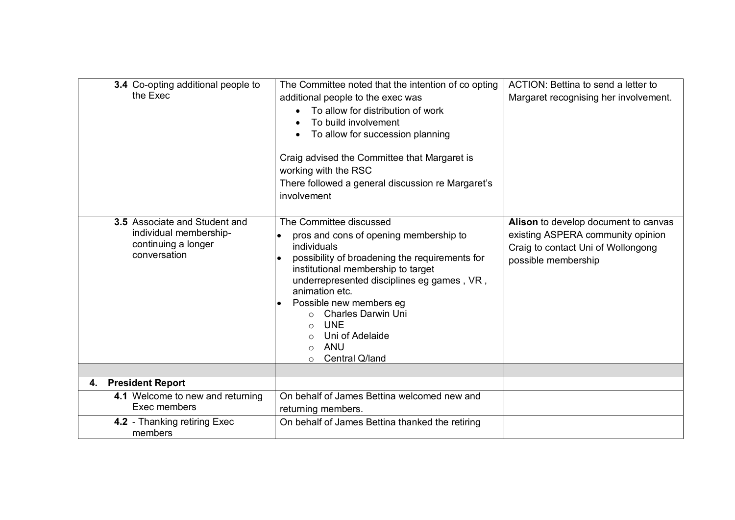| 3.4 Co-opting additional people to<br>the Exec                                                 | The Committee noted that the intention of co opting<br>additional people to the exec was<br>To allow for distribution of work<br>To build involvement<br>To allow for succession planning<br>Craig advised the Committee that Margaret is<br>working with the RSC<br>There followed a general discussion re Margaret's<br>involvement                                                                                 | ACTION: Bettina to send a letter to<br>Margaret recognising her involvement.                                                           |
|------------------------------------------------------------------------------------------------|-----------------------------------------------------------------------------------------------------------------------------------------------------------------------------------------------------------------------------------------------------------------------------------------------------------------------------------------------------------------------------------------------------------------------|----------------------------------------------------------------------------------------------------------------------------------------|
| 3.5 Associate and Student and<br>individual membership-<br>continuing a longer<br>conversation | The Committee discussed<br>pros and cons of opening membership to<br>individuals<br>possibility of broadening the requirements for<br>$\bullet$<br>institutional membership to target<br>underrepresented disciplines eg games, VR,<br>animation etc.<br>Possible new members eg<br><b>Charles Darwin Uni</b><br><b>UNE</b><br>$\circ$<br>Uni of Adelaide<br>◯<br><b>ANU</b><br>$\circ$<br>Central Q/land<br>$\Omega$ | Alison to develop document to canvas<br>existing ASPERA community opinion<br>Craig to contact Uni of Wollongong<br>possible membership |
| 4. President Report                                                                            |                                                                                                                                                                                                                                                                                                                                                                                                                       |                                                                                                                                        |
| 4.1 Welcome to new and returning<br>Exec members                                               | On behalf of James Bettina welcomed new and<br>returning members.                                                                                                                                                                                                                                                                                                                                                     |                                                                                                                                        |
| 4.2 - Thanking retiring Exec<br>members                                                        | On behalf of James Bettina thanked the retiring                                                                                                                                                                                                                                                                                                                                                                       |                                                                                                                                        |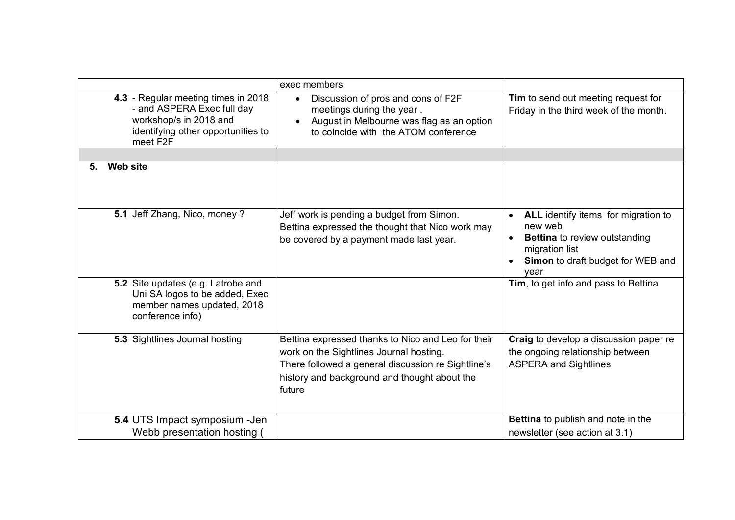|                                                                                                                                               | exec members                                                                                                                                                                                                  |                                                                                                                                                              |
|-----------------------------------------------------------------------------------------------------------------------------------------------|---------------------------------------------------------------------------------------------------------------------------------------------------------------------------------------------------------------|--------------------------------------------------------------------------------------------------------------------------------------------------------------|
| 4.3 - Regular meeting times in 2018<br>- and ASPERA Exec full day<br>workshop/s in 2018 and<br>identifying other opportunities to<br>meet F2F | Discussion of pros and cons of F2F<br>$\bullet$<br>meetings during the year.<br>August in Melbourne was flag as an option<br>to coincide with the ATOM conference                                             | Tim to send out meeting request for<br>Friday in the third week of the month.                                                                                |
|                                                                                                                                               |                                                                                                                                                                                                               |                                                                                                                                                              |
| <b>Web site</b><br>5.                                                                                                                         |                                                                                                                                                                                                               |                                                                                                                                                              |
| 5.1 Jeff Zhang, Nico, money?                                                                                                                  | Jeff work is pending a budget from Simon.<br>Bettina expressed the thought that Nico work may<br>be covered by a payment made last year.                                                                      | ALL identify items for migration to<br>new web<br><b>Bettina</b> to review outstanding<br>migration list<br><b>Simon</b> to draft budget for WEB and<br>vear |
| 5.2 Site updates (e.g. Latrobe and<br>Uni SA logos to be added, Exec<br>member names updated, 2018<br>conference info)                        |                                                                                                                                                                                                               | Tim, to get info and pass to Bettina                                                                                                                         |
| 5.3 Sightlines Journal hosting                                                                                                                | Bettina expressed thanks to Nico and Leo for their<br>work on the Sightlines Journal hosting.<br>There followed a general discussion re Sightline's<br>history and background and thought about the<br>future | Craig to develop a discussion paper re<br>the ongoing relationship between<br><b>ASPERA and Sightlines</b>                                                   |
| 5.4 UTS Impact symposium - Jen<br>Webb presentation hosting                                                                                   |                                                                                                                                                                                                               | Bettina to publish and note in the<br>newsletter (see action at 3.1)                                                                                         |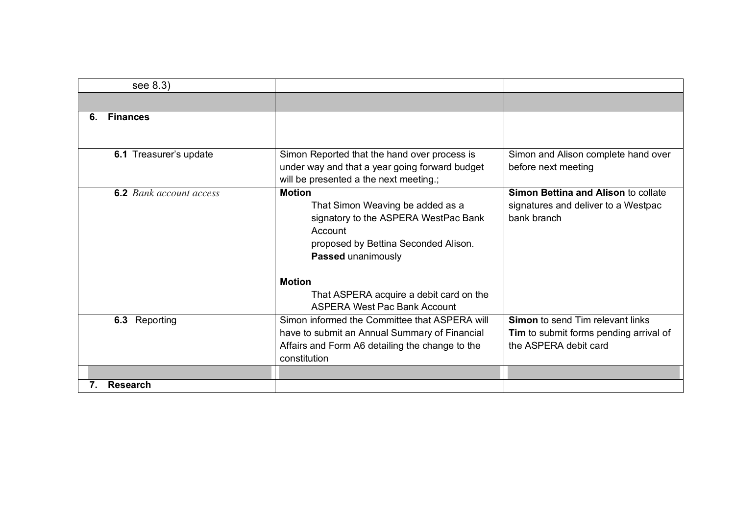| see 8.3)                       |                                                                                                                                                                    |                                                                                                                   |
|--------------------------------|--------------------------------------------------------------------------------------------------------------------------------------------------------------------|-------------------------------------------------------------------------------------------------------------------|
|                                |                                                                                                                                                                    |                                                                                                                   |
| <b>Finances</b><br>6.          |                                                                                                                                                                    |                                                                                                                   |
| 6.1 Treasurer's update         | Simon Reported that the hand over process is<br>under way and that a year going forward budget<br>will be presented a the next meeting.;                           | Simon and Alison complete hand over<br>before next meeting                                                        |
| <b>6.2</b> Bank account access | <b>Motion</b><br>That Simon Weaving be added as a<br>signatory to the ASPERA WestPac Bank<br>Account<br>proposed by Bettina Seconded Alison.<br>Passed unanimously | <b>Simon Bettina and Alison to collate</b><br>signatures and deliver to a Westpac<br>bank branch                  |
|                                | <b>Motion</b><br>That ASPERA acquire a debit card on the<br><b>ASPERA West Pac Bank Account</b>                                                                    |                                                                                                                   |
| 6.3 Reporting                  | Simon informed the Committee that ASPERA will<br>have to submit an Annual Summary of Financial<br>Affairs and Form A6 detailing the change to the<br>constitution  | <b>Simon</b> to send Tim relevant links<br><b>Tim</b> to submit forms pending arrival of<br>the ASPERA debit card |
| <b>Research</b>                |                                                                                                                                                                    |                                                                                                                   |
| 7.                             |                                                                                                                                                                    |                                                                                                                   |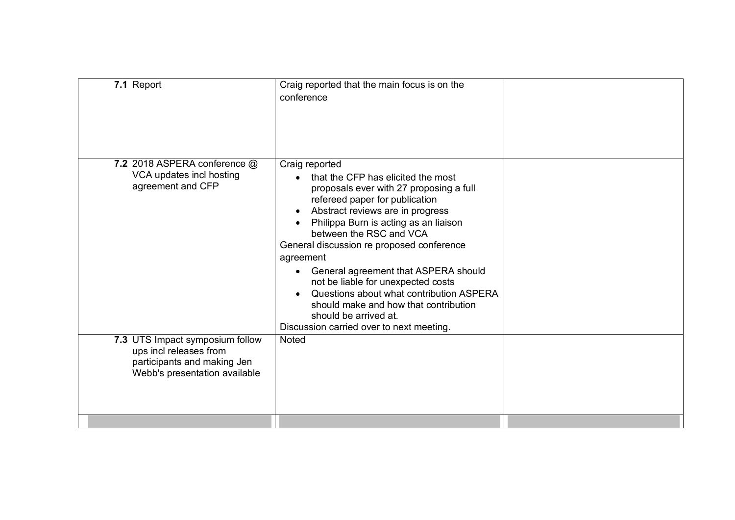| 7.1 Report                                                                                                                | Craig reported that the main focus is on the<br>conference                                                                                                                                                                                                                                                                                                                                                                                                                                                                                                            |  |
|---------------------------------------------------------------------------------------------------------------------------|-----------------------------------------------------------------------------------------------------------------------------------------------------------------------------------------------------------------------------------------------------------------------------------------------------------------------------------------------------------------------------------------------------------------------------------------------------------------------------------------------------------------------------------------------------------------------|--|
| 7.2 2018 ASPERA conference @<br>VCA updates incl hosting<br>agreement and CFP                                             | Craig reported<br>that the CFP has elicited the most<br>$\bullet$<br>proposals ever with 27 proposing a full<br>refereed paper for publication<br>Abstract reviews are in progress<br>Philippa Burn is acting as an liaison<br>between the RSC and VCA<br>General discussion re proposed conference<br>agreement<br>General agreement that ASPERA should<br>$\bullet$<br>not be liable for unexpected costs<br>Questions about what contribution ASPERA<br>should make and how that contribution<br>should be arrived at.<br>Discussion carried over to next meeting. |  |
| 7.3 UTS Impact symposium follow<br>ups incl releases from<br>participants and making Jen<br>Webb's presentation available | <b>Noted</b>                                                                                                                                                                                                                                                                                                                                                                                                                                                                                                                                                          |  |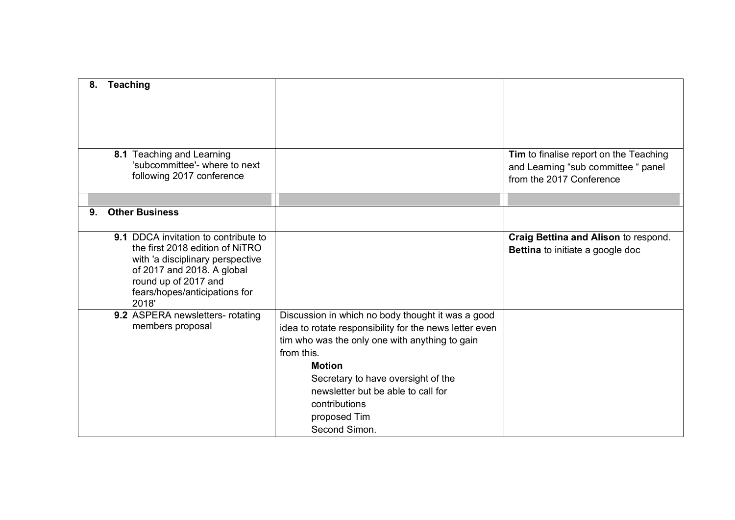| 8. | <b>Teaching</b>                                                                         |                                                        |                                                                                                           |
|----|-----------------------------------------------------------------------------------------|--------------------------------------------------------|-----------------------------------------------------------------------------------------------------------|
|    |                                                                                         |                                                        |                                                                                                           |
|    |                                                                                         |                                                        |                                                                                                           |
|    |                                                                                         |                                                        |                                                                                                           |
|    | 8.1 Teaching and Learning<br>'subcommittee'- where to next<br>following 2017 conference |                                                        | Tim to finalise report on the Teaching<br>and Learning "sub committee " panel<br>from the 2017 Conference |
|    |                                                                                         |                                                        |                                                                                                           |
| 9. | <b>Other Business</b>                                                                   |                                                        |                                                                                                           |
|    |                                                                                         |                                                        |                                                                                                           |
|    | <b>9.1 DDCA invitation to contribute to</b><br>the first 2018 edition of NiTRO          |                                                        | Craig Bettina and Alison to respond.                                                                      |
|    | with 'a disciplinary perspective                                                        |                                                        | <b>Bettina</b> to initiate a google doc                                                                   |
|    | of 2017 and 2018. A global                                                              |                                                        |                                                                                                           |
|    | round up of 2017 and                                                                    |                                                        |                                                                                                           |
|    | fears/hopes/anticipations for<br>2018'                                                  |                                                        |                                                                                                           |
|    | 9.2 ASPERA newsletters- rotating                                                        | Discussion in which no body thought it was a good      |                                                                                                           |
|    | members proposal                                                                        | idea to rotate responsibility for the news letter even |                                                                                                           |
|    |                                                                                         | tim who was the only one with anything to gain         |                                                                                                           |
|    |                                                                                         | from this.                                             |                                                                                                           |
|    |                                                                                         | <b>Motion</b>                                          |                                                                                                           |
|    |                                                                                         | Secretary to have oversight of the                     |                                                                                                           |
|    |                                                                                         | newsletter but be able to call for                     |                                                                                                           |
|    |                                                                                         | contributions                                          |                                                                                                           |
|    |                                                                                         | proposed Tim                                           |                                                                                                           |
|    |                                                                                         | Second Simon.                                          |                                                                                                           |